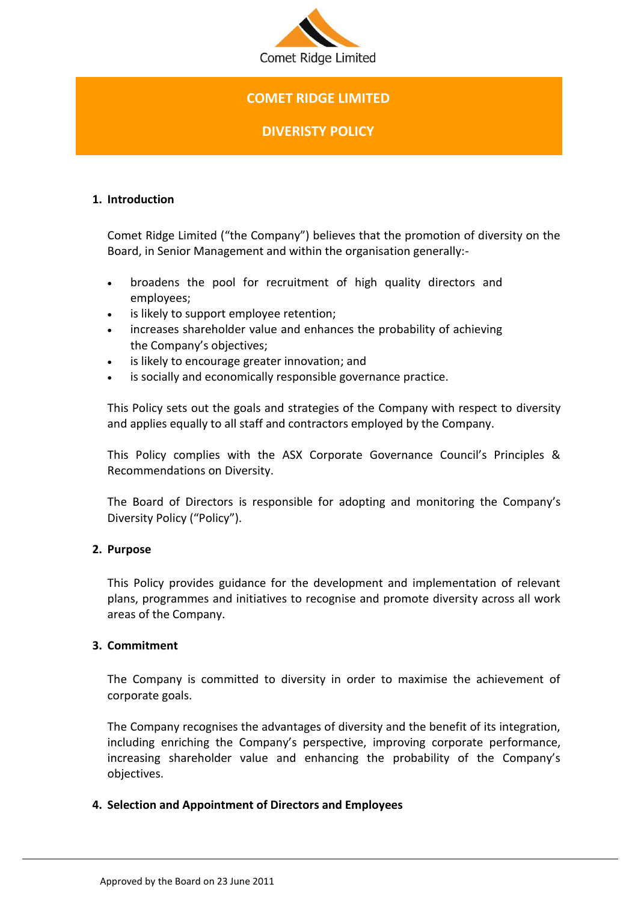

# **COMET RIDGE LIMITED**

**DIVERISTY POLICY** 

## **1. Introduction**

Comet Ridge Limited ("the Company") believes that the promotion of diversity on the Board, in Senior Management and within the organisation generally:-

- broadens the pool for recruitment of high quality directors and employees;
- is likely to support employee retention;
- increases shareholder value and enhances the probability of achieving the Company's objectives;
- is likely to encourage greater innovation; and
- is socially and economically responsible governance practice.

This Policy sets out the goals and strategies of the Company with respect to diversity and applies equally to all staff and contractors employed by the Company.

This Policy complies with the ASX Corporate Governance Council's Principles & Recommendations on Diversity.

The Board of Directors is responsible for adopting and monitoring the Company's Diversity Policy ("Policy").

### **2. Purpose**

This Policy provides guidance for the development and implementation of relevant plans, programmes and initiatives to recognise and promote diversity across all work areas of the Company.

### **3. Commitment**

The Company is committed to diversity in order to maximise the achievement of corporate goals.

The Company recognises the advantages of diversity and the benefit of its integration, including enriching the Company's perspective, improving corporate performance, increasing shareholder value and enhancing the probability of the Company's objectives.

### **4. Selection and Appointment of Directors and Employees**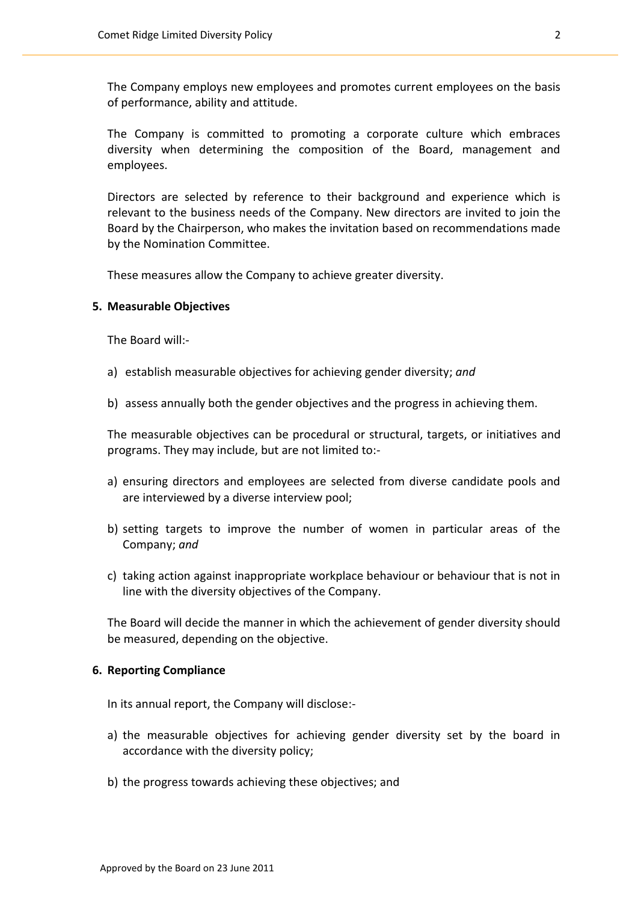The Company employs new employees and promotes current employees on the basis of performance, ability and attitude.

The Company is committed to promoting a corporate culture which embraces diversity when determining the composition of the Board, management and employees.

Directors are selected by reference to their background and experience which is relevant to the business needs of the Company. New directors are invited to join the Board by the Chairperson, who makes the invitation based on recommendations made by the Nomination Committee.

These measures allow the Company to achieve greater diversity.

#### **5. Measurable Objectives**

The Board will:-

- a) establish measurable objectives for achieving gender diversity; *and*
- b) assess annually both the gender objectives and the progress in achieving them.

The measurable objectives can be procedural or structural, targets, or initiatives and programs. They may include, but are not limited to:-

- a) ensuring directors and employees are selected from diverse candidate pools and are interviewed by a diverse interview pool;
- b) setting targets to improve the number of women in particular areas of the Company; *and*
- c) taking action against inappropriate workplace behaviour or behaviour that is not in line with the diversity objectives of the Company.

The Board will decide the manner in which the achievement of gender diversity should be measured, depending on the objective.

#### **6. Reporting Compliance**

In its annual report, the Company will disclose:-

- a) the measurable objectives for achieving gender diversity set by the board in accordance with the diversity policy;
- b) the progress towards achieving these objectives; and